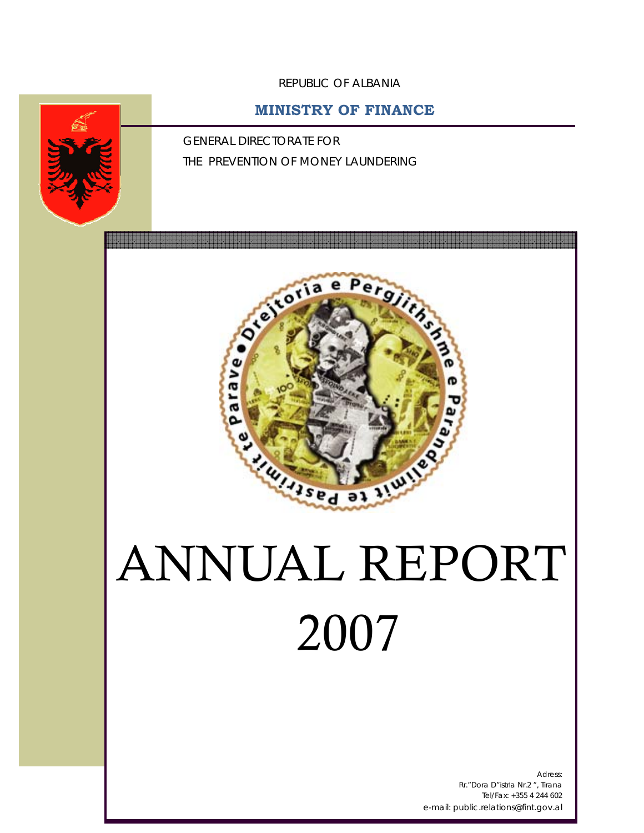REPUBLIC OF ALBANIA

# **MINISTRY OF FINANCE**

GENERAL DIRECTORATE FOR THE PREVENTION OF MONEY LAUNDERING



# 2007

Adress: Rr."Dora D"istria Nr.2 ", Tirana Tel/Fax: +355 4 244 602 e-mail: public.relations@fint.gov.al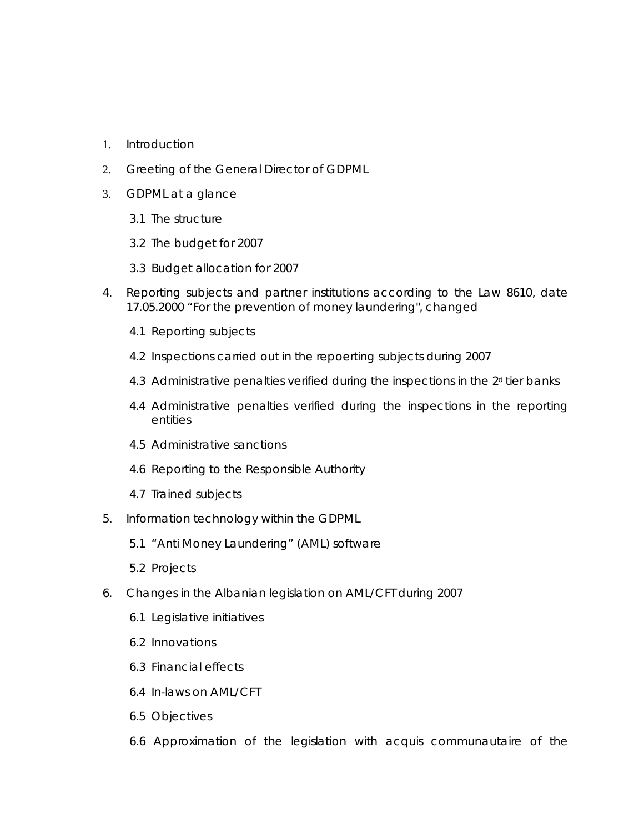- 1. Introduction
- 2. Greeting of the General Director of GDPML
- 3. GDPML at a glance
	- 3.1 The structure
	- 3.2 The budget for 2007
	- 3.3 Budget allocation for 2007
- 4. Reporting subjects and partner institutions according to the Law 8610, date 17.05.2000 "For the prevention of money laundering", changed
	- 4.1 Reporting subjects
	- 4.2 Inspections carried out in the repoerting subjects during 2007
	- 4.3 Administrative penalties verified during the inspections in the 2<sup>d</sup> tier banks
	- 4.4 Administrative penalties verified during the inspections in the reporting entities
	- 4.5 Administrative sanctions
	- 4.6 Reporting to the Responsible Authority
	- 4.7 Trained subjects
- 5. Information technology within the GDPML
	- 5.1 "Anti Money Laundering" (AML) software
	- 5.2 Projects
- 6. Changes in the Albanian legislation on AML/CFT during 2007
	- 6.1 Legislative initiatives
	- 6.2 Innovations
	- 6.3 Financial effects
	- 6.4 In-laws on AML/CFT
	- 6.5 Objectives
	- 6.6 Approximation of the legislation with *acquis communautaire* of the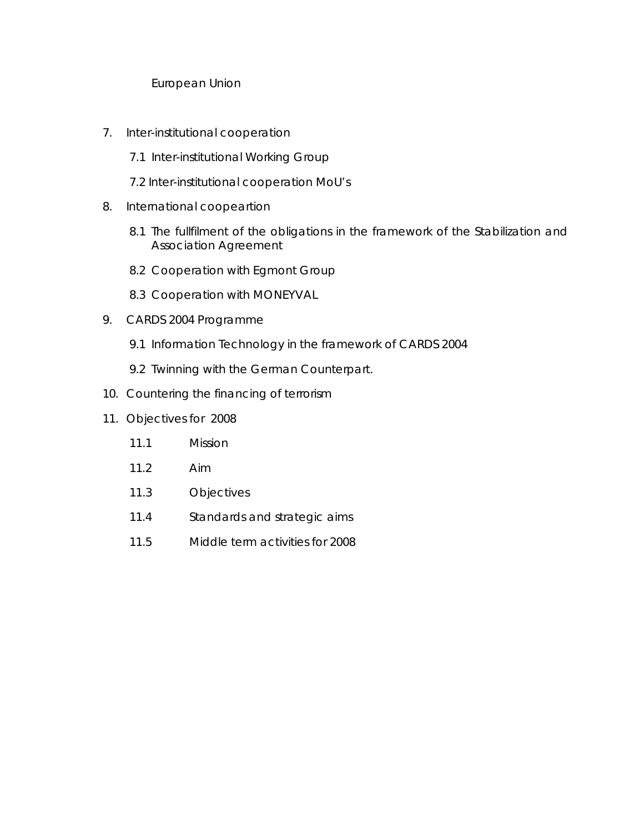#### European Union

- 7. Inter-institutional cooperation
	- 7.1 Inter-institutional Working Group
	- 7.2 Inter-institutional cooperation MoU's
- 8. International coopeartion
	- 8.1 The fullfilment of the obligations in the framework of the Stabilization and Association Agreement
	- 8.2 Cooperation with Egmont Group
	- 8.3 Cooperation with MONEYVAL
- 9. CARDS 2004 Programme
	- 9.1 Information Technology in the framework of CARDS 2004
	- 9.2 Twinning with the German Counterpart.
- 10. Countering the financing of terrorism
- 11. Objectives for 2008
	- 11.1 Mission
	- 11.2 Aim
	- 11.3 Objectives
	- 11.4 Standards and strategic aims
	- 11.5 Middle term activities for 2008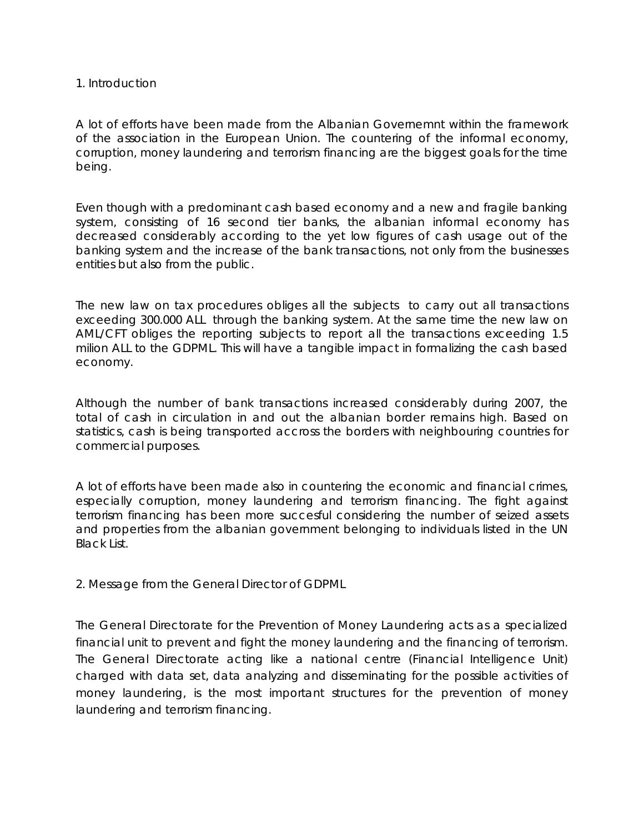#### 1. Introduction

A lot of efforts have been made from the Albanian Governemnt within the framework of the association in the European Union. The countering of the informal economy, corruption, money laundering and terrorism financing are the biggest goals for the time being.

Even though with a predominant cash based economy and a new and fragile banking system, consisting of 16 second tier banks, the albanian informal economy has decreased considerably according to the yet low figures of cash usage out of the banking system and the increase of the bank transactions, not only from the businesses entities but also from the public.

The new law on tax procedures obliges all the subjects to carry out all transactions exceeding 300.000 ALL through the banking system. At the same time the new law on AML/CFT obliges the reporting subjects to report all the transactions exceeding 1.5 milion ALL to the GDPML. This will have a tangible impact in formalizing the cash based economy.

Although the number of bank transactions increased considerably during 2007, the total of cash in circulation in and out the albanian border remains high. Based on statistics, cash is being transported accross the borders with neighbouring countries for commercial purposes.

A lot of efforts have been made also in countering the economic and financial crimes, especially corruption, money laundering and terrorism financing. The fight against terrorism financing has been more succesful considering the number of seized assets and properties from the albanian government belonging to individuals listed in the UN Black List.

2. Message from the General Director of GDPML

The General Directorate for the Prevention of Money Laundering acts as a specialized financial unit to prevent and fight the money laundering and the financing of terrorism. The General Directorate acting like a national centre (Financial Intelligence Unit) charged with data set, data analyzing and disseminating for the possible activities of money laundering, is the most important structures for the prevention of money laundering and terrorism financing.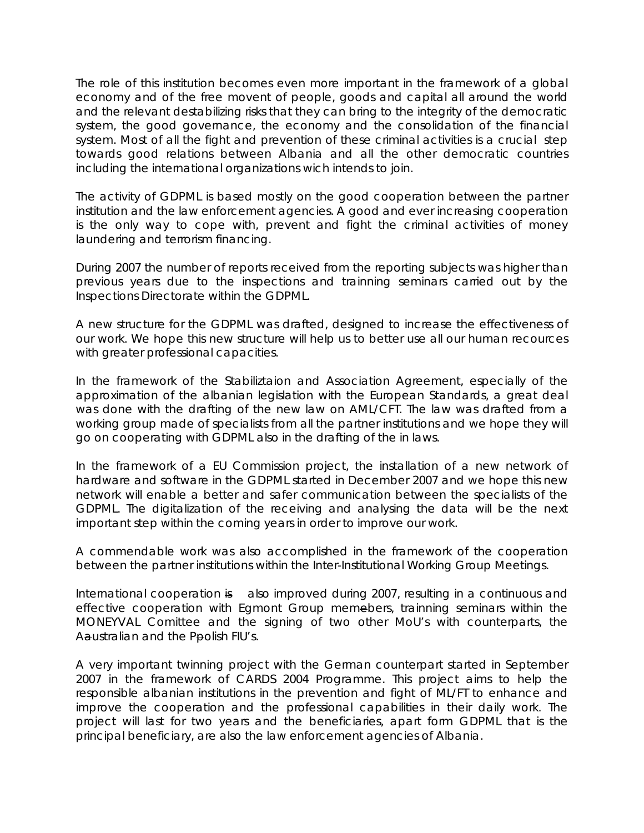The role of this institution becomes even more important in the framework of a global economy and of the free movent of people, goods and capital all around the world and the relevant destabilizing risks that they can bring to the integrity of the democratic system, the good governance, the economy and the consolidation of the financial system. Most of all the fight and prevention of these criminal activities is a crucial step towards good relations between Albania and all the other democratic countries including the international organizations wich intends to join.

The activity of GDPML is based mostly on the good cooperation between the partner institution and the law enforcement agencies. A good and ever increasing cooperation is the only way to cope with, prevent and fight the criminal activities of money laundering and terrorism financing.

During 2007 the number of reports received from the reporting subjects was higher than previous years due to the inspections and trainning seminars carried out by the Inspections Directorate within the GDPML.

A new structure for the GDPML was drafted, designed to increase the effectiveness of our work. We hope this new structure will help us to better use all our human recources with greater professional capacities.

In the framework of the Stabiliztaion and Association Agreement, especially of the approximation of the albanian legislation with the European Standards, a great deal was done with the drafting of the new law on AML/CFT. The law was drafted from a working group made of specialists from all the partner institutions and we hope they will go on cooperating with GDPML also in the drafting of the in laws.

In the framework of a EU Commission project, the installation of a new network of hardware and software in the GDPML started in December 2007 and we hope this new network will enable a better and safer communication between the specialists of the GDPML. The digitalization of the receiving and analysing the data will be the next important step within the coming years in order to improve our work.

A commendable work was also accomplished in the framework of the cooperation between the partner institutions within the Inter-Institutional Working Group Meetings.

International cooperation is also improved during 2007, resulting in a continuous and effective cooperation with Egmont Group memebers, trainning seminars within the MONEYVAL Comittee and the signing of two other MoU's with counterparts, the Aaustralian and the Ppolish FIU's.

A very important twinning project with the German counterpart started in September 2007 in the framework of CARDS 2004 Programme. This project aims to help the responsible albanian institutions in the prevention and fight of ML/FT to enhance and improve the cooperation and the professional capabilities in their daily work. The project will last for two years and the beneficiaries, apart form GDPML that is the principal beneficiary, are also the law enforcement agencies of Albania.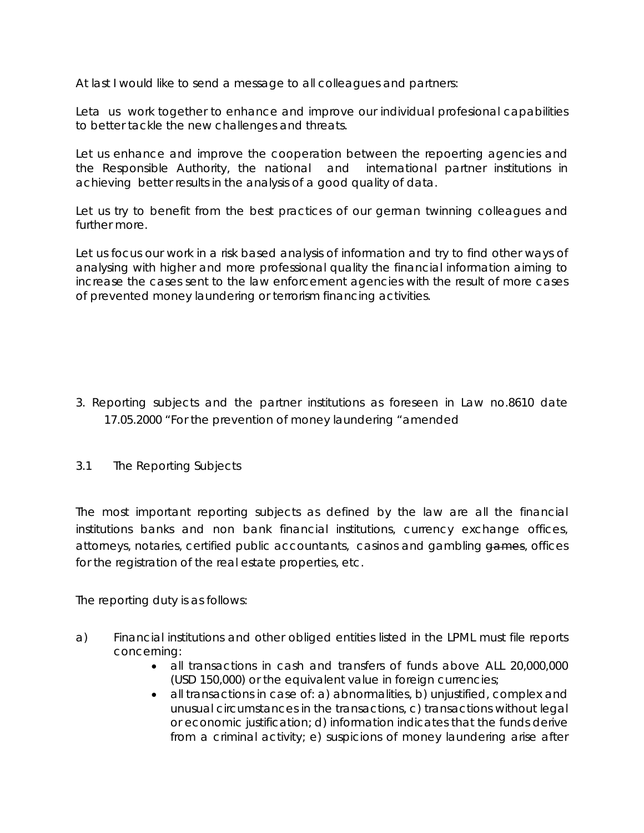At last I would like to send a message to all colleagues and partners:

Leta us work together to enhance and improve our individual profesional capabilities to better tackle the new challenges and threats.

Let us enhance and improve the cooperation between the repoerting agencies and the Responsible Authority, the national and international partner institutions in achieving better results in the analysis of a good quality of data.

Let us try to benefit from the best practices of our german twinning colleagues and further more.

Let us focus our work in a risk based analysis of information and try to find other ways of analysing with higher and more professional quality the financial information aiming to increase the cases sent to the law enforcement agencies with the result of more cases of prevented money laundering or terrorism financing activities.

- 3. Reporting subjects and the partner institutions as foreseen in Law no.8610 date 17.05.2000 "For the prevention of money laundering "amended
- 3.1 The Reporting Subjects

The most important reporting subjects as defined by the law are all the financial institutions banks and non bank financial institutions, currency exchange offices, attorneys, notaries, certified public accountants, casinos and gambling games, offices for the registration of the real estate properties, etc.

The reporting duty is as follows:

- a) Financial institutions and other obliged entities listed in the LPML must file reports concerning:
	- all transactions in cash and transfers of funds above ALL 20,000,000 (USD 150,000) or the equivalent value in foreign currencies;
	- all transactions in case of: a) abnormalities, b) unjustified, complex and unusual circumstances in the transactions, c) transactions without legal or economic justification; d) information indicates that the funds derive from a criminal activity; e) suspicions of money laundering arise after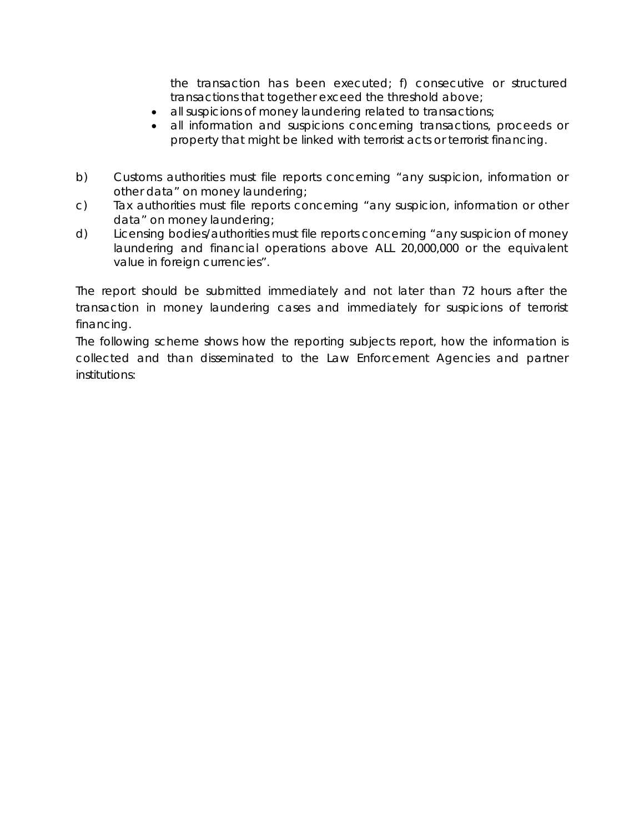the transaction has been executed; f) consecutive or structured transactions that together exceed the threshold above;

- all suspicions of money laundering related to transactions;
- all information and suspicions concerning transactions, proceeds or property that might be linked with terrorist acts or terrorist financing.
- b) Customs authorities must file reports concerning "any suspicion, information or other data" on money laundering;
- c) Tax authorities must file reports concerning "any suspicion, information or other data" on money laundering;
- d) Licensing bodies/authorities must file reports concerning "any suspicion of money laundering and financial operations above ALL 20,000,000 or the equivalent value in foreign currencies".

The report should be submitted immediately and not later than 72 hours after the transaction in money laundering cases and immediately for suspicions of terrorist financing.

The following scheme shows how the reporting subjects report, how the information is collected and than disseminated to the Law Enforcement Agencies and partner institutions: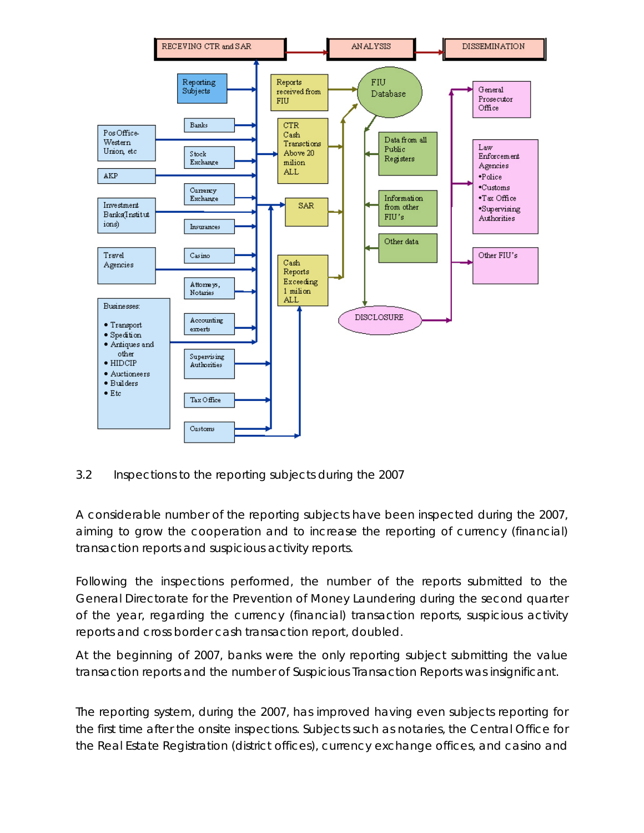

3.2 Inspections to the reporting subjects during the 2007

A considerable number of the reporting subjects have been inspected during the 2007, aiming to grow the cooperation and to increase the reporting of currency (financial) transaction reports and suspicious activity reports.

Following the inspections performed, the number of the reports submitted to the General Directorate for the Prevention of Money Laundering during the second quarter of the year, regarding the currency (financial) transaction reports, suspicious activity reports and cross border cash transaction report, doubled.

At the beginning of 2007, banks were the only reporting subject submitting the value transaction reports and the number of Suspicious Transaction Reports was insignificant.

The reporting system, during the 2007, has improved having even subjects reporting for the first time after the onsite inspections. Subjects such as notaries, the Central Office for the Real Estate Registration (district offices), currency exchange offices, and casino and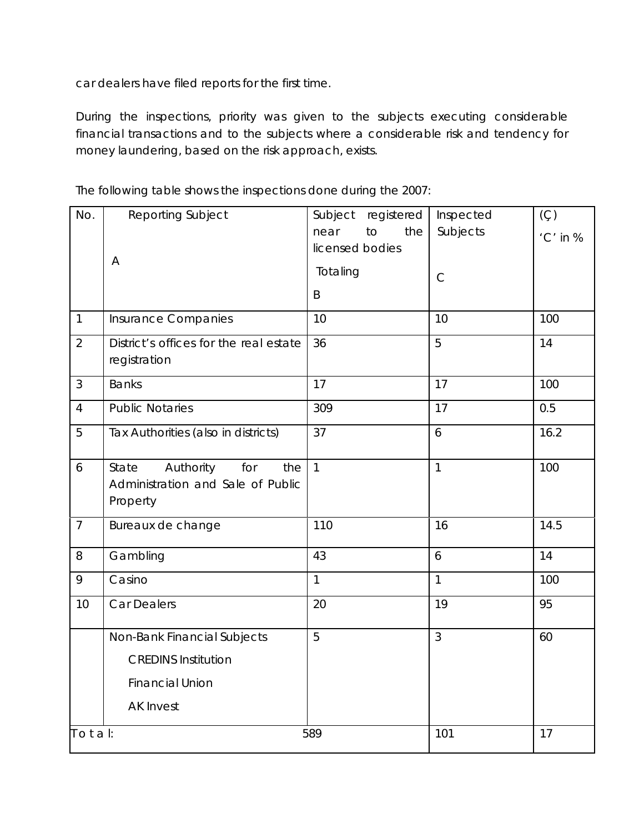car dealers have filed reports for the first time.

During the inspections, priority was given to the subjects executing considerable financial transactions and to the subjects where a considerable risk and tendency for money laundering, based on the risk approach, exists.

| No.            | Reporting Subject                                                                 | Subject<br>registered | Inspected       | $(\varsigma)$ |
|----------------|-----------------------------------------------------------------------------------|-----------------------|-----------------|---------------|
|                |                                                                                   | to<br>the<br>near     | Subjects        | 'C' in %      |
|                | A                                                                                 | licensed bodies       |                 |               |
|                |                                                                                   | Totaling              | $\mathsf{C}$    |               |
|                |                                                                                   | B                     |                 |               |
| $\mathbf{1}$   | Insurance Companies                                                               | 10                    | 10              | 100           |
| $\overline{2}$ | District's offices for the real estate<br>registration                            | 36                    | 5               | 14            |
| $\mathfrak{Z}$ | <b>Banks</b>                                                                      | 17                    | 17              | 100           |
| $\overline{4}$ | <b>Public Notaries</b>                                                            | 309                   | 17              | 0.5           |
| 5              | Tax Authorities (also in districts)                                               | 37                    | 6               | 16.2          |
| 6              | Authority<br>State<br>for<br>the<br>Administration and Sale of Public<br>Property | $\mathbf{1}$          | $\overline{1}$  | 100           |
| $\overline{7}$ | Bureaux de change                                                                 | 110                   | 16              | 14.5          |
| 8              | Gambling                                                                          | 43                    | $6\overline{6}$ | 14            |
| 9              | Casino                                                                            | $\mathbf{1}$          | $\mathbf{1}$    | 100           |
| 10             | Car Dealers                                                                       | 20                    | 19              | 95            |
|                | Non-Bank Financial Subjects                                                       | 5                     | $\overline{3}$  | 60            |
|                | <b>CREDINS Institution</b>                                                        |                       |                 |               |
|                | <b>Financial Union</b>                                                            |                       |                 |               |
|                | <b>AK Invest</b>                                                                  |                       |                 |               |
| Total:         |                                                                                   | 589                   | 101             | 17            |

The following table shows the inspections done during the 2007: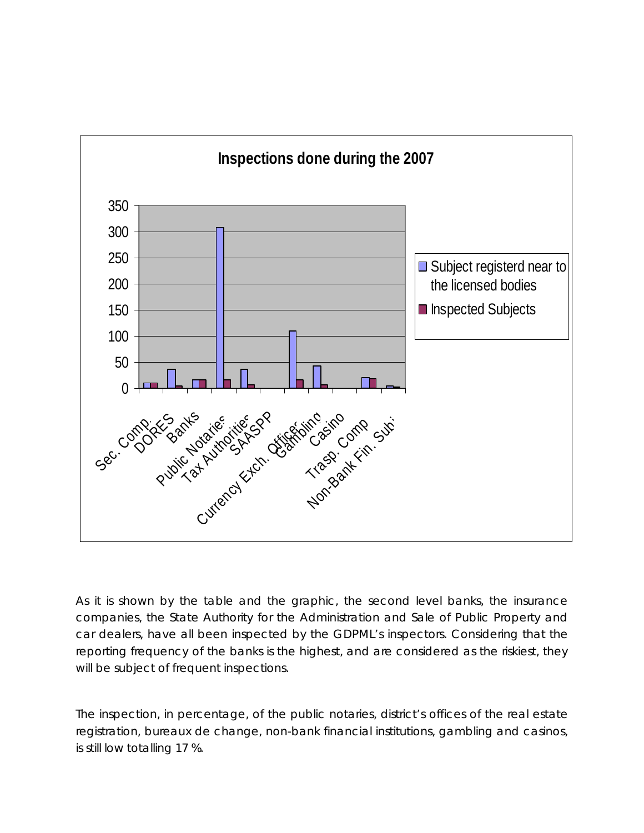

As it is shown by the table and the graphic, the second level banks, the insurance companies, the State Authority for the Administration and Sale of Public Property and car dealers, have all been inspected by the GDPML's inspectors. Considering that the reporting frequency of the banks is the highest, and are considered as the riskiest, they will be subject of frequent inspections.

The inspection, in percentage, of the public notaries, district's offices of the real estate registration, bureaux de change, non-bank financial institutions, gambling and casinos, is still low totalling 17 %.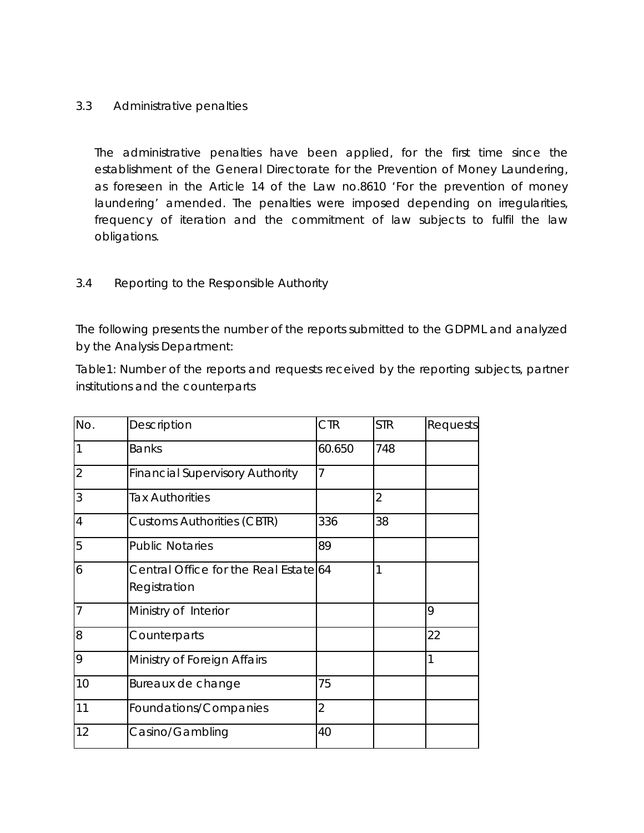### 3.3 Administrative penalties

The administrative penalties have been applied, for the first time since the establishment of the General Directorate for the Prevention of Money Laundering, as foreseen in the Article 14 of the Law no.8610 'For the prevention of money laundering' amended. The penalties were imposed depending on irregularities, frequency of iteration and the commitment of law subjects to fulfil the law obligations.

## 3.4 Reporting to the Responsible Authority

The following presents the number of the reports submitted to the GDPML and analyzed by the Analysis Department:

Table1: Number of the reports and requests received by the reporting subjects, partner institutions and the counterparts

| No. | Description                                           | <b>CTR</b>     | <b>STR</b>     | Requests |
|-----|-------------------------------------------------------|----------------|----------------|----------|
|     | <b>Banks</b>                                          | 60.650         | 748            |          |
| 2   | <b>Financial Supervisory Authority</b>                | 7              |                |          |
| 3   | <b>Tax Authorities</b>                                |                | $\overline{2}$ |          |
| 4   | <b>Customs Authorities (CBTR)</b>                     | 336            | 38             |          |
| 5   | <b>Public Notaries</b>                                | 89             |                |          |
| 6   | Central Office for the Real Estate 64<br>Registration |                | 1              |          |
| 7   | Ministry of Interior                                  |                |                | 9        |
| 8   | Counterparts                                          |                |                | 22       |
| 9   | Ministry of Foreign Affairs                           |                |                | 1        |
| 10  | Bureaux de change                                     | 75             |                |          |
| 11  | Foundations/Companies                                 | $\overline{2}$ |                |          |
| 12  | Casino/Gambling                                       | 40             |                |          |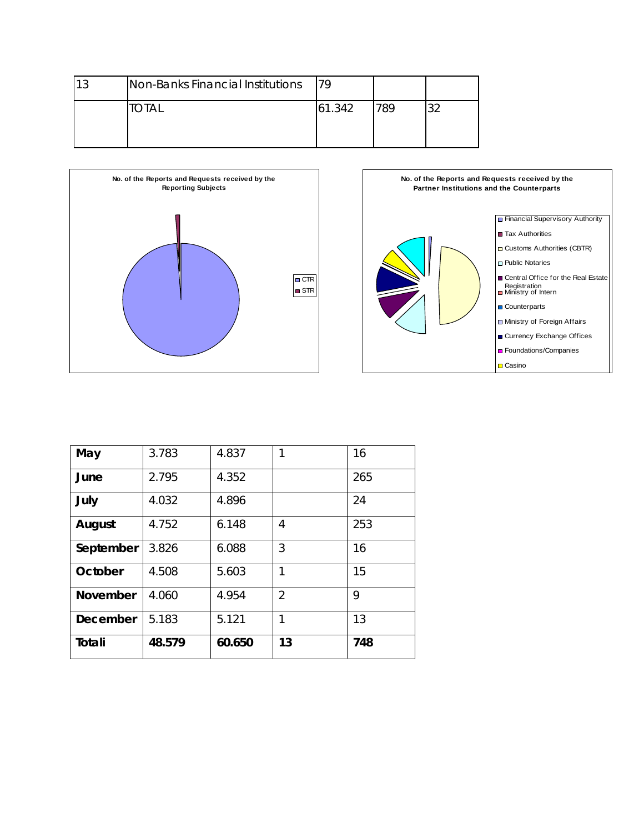| າ ^ | Non-Banks Financial Institutions | 79     |     |  |
|-----|----------------------------------|--------|-----|--|
|     | `OTAl                            | 61.342 | 789 |  |





| May             | 3.783  | 4.837  | 1              | 16  |
|-----------------|--------|--------|----------------|-----|
| June            | 2.795  | 4.352  |                | 265 |
| July            | 4.032  | 4.896  |                | 24  |
| August          | 4.752  | 6.148  | 4              | 253 |
| September       | 3.826  | 6.088  | 3              | 16  |
| October         | 4.508  | 5.603  | 1              | 15  |
| <b>November</b> | 4.060  | 4.954  | $\overline{2}$ | 9   |
| December        | 5.183  | 5.121  | 1              | 13  |
| Totali          | 48.579 | 60.650 | 13             | 748 |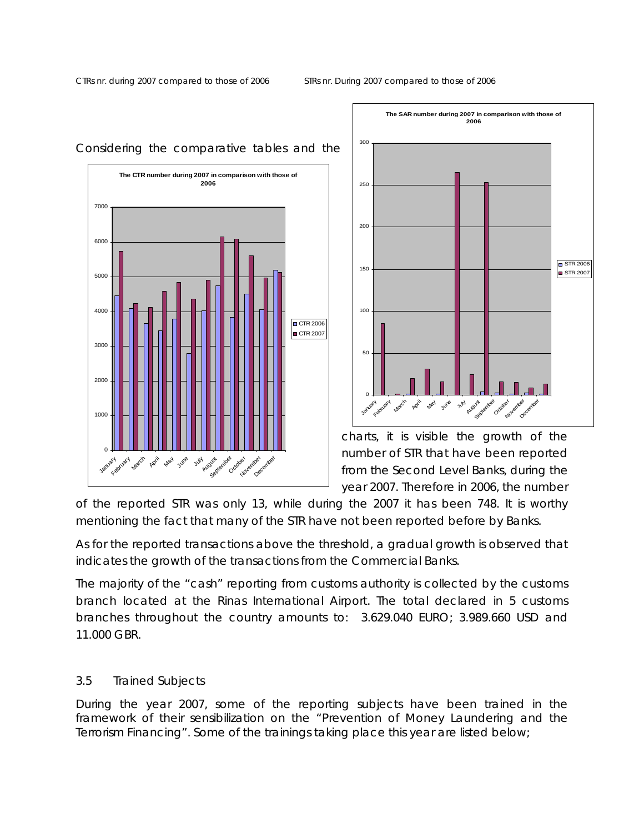



charts, it is visible the growth of the number of STR that have been reported from the Second Level Banks, during the year 2007. Therefore in 2006, the number

of the reported STR was only 13, while during the 2007 it has been 748. It is worthy mentioning the fact that many of the STR have not been reported before by Banks.

As for the reported transactions above the threshold, a gradual growth is observed that indicates the growth of the transactions from the Commercial Banks.

The majority of the "cash" reporting from customs authority is collected by the customs branch located at the Rinas International Airport. The total declared in 5 customs branches throughout the country amounts to: 3.629.040 EURO; 3.989.660 USD and 11.000 GBR.

## 3.5 Trained Subjects

During the year 2007, some of the reporting subjects have been trained in the framework of their sensibilization on the "Prevention of Money Laundering and the Terrorism Financing". Some of the trainings taking place this year are listed below;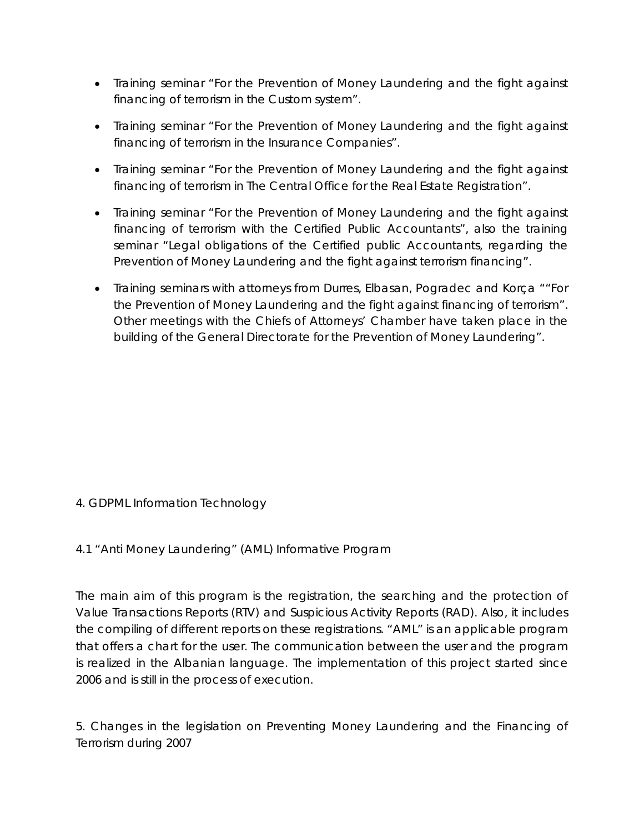- Training seminar "For the Prevention of Money Laundering and the fight against financing of terrorism in the Custom system".
- Training seminar "For the Prevention of Money Laundering and the fight against financing of terrorism in the Insurance Companies".
- Training seminar "For the Prevention of Money Laundering and the fight against financing of terrorism in The Central Office for the Real Estate Registration".
- Training seminar "For the Prevention of Money Laundering and the fight against financing of terrorism with the Certified Public Accountants", also the training seminar "Legal obligations of the Certified public Accountants, regarding the Prevention of Money Laundering and the fight against terrorism financing".
- Training seminars with attorneys from Durres, Elbasan, Pogradec and Korça ""For the Prevention of Money Laundering and the fight against financing of terrorism". Other meetings with the Chiefs of Attorneys' Chamber have taken place in the building of the General Directorate for the Prevention of Money Laundering".

# 4. GDPML Information Technology

## 4.1 "Anti Money Laundering" (AML) Informative Program

The main aim of this program is the registration, the searching and the protection of Value Transactions Reports (RTV) and Suspicious Activity Reports (RAD). Also, it includes the compiling of different reports on these registrations. "AML" is an applicable program that offers a chart for the user. The communication between the user and the program is realized in the Albanian language. The implementation of this project started since 2006 and is still in the process of execution.

5. Changes in the legislation on Preventing Money Laundering and the Financing of Terrorism during 2007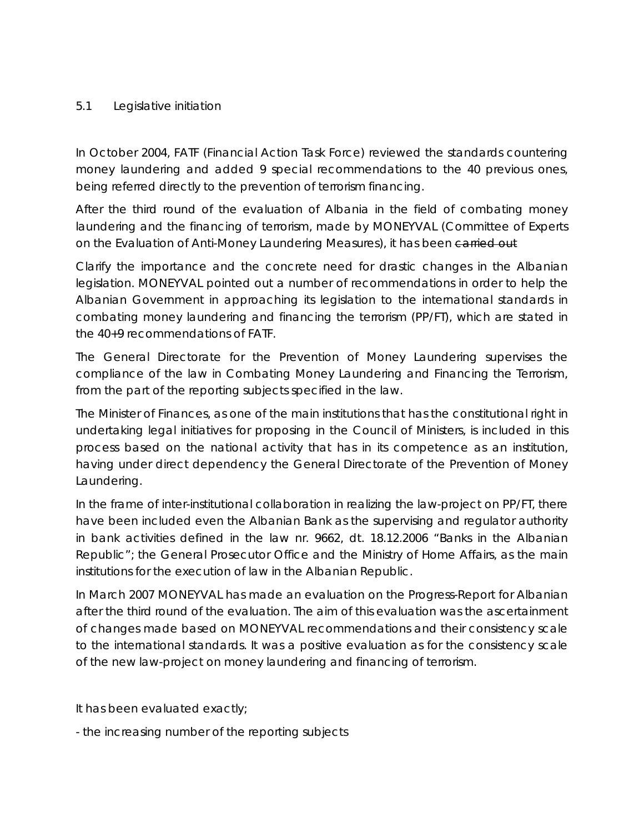## 5.1 Legislative initiation

In October 2004, FATF (Financial Action Task Force) reviewed the standards countering money laundering and added 9 special recommendations to the 40 previous ones, being referred directly to the prevention of terrorism financing.

After the third round of the evaluation of Albania in the field of combating money laundering and the financing of terrorism, made by MONEYVAL (Committee of Experts on the Evaluation of Anti-Money Laundering Measures), it has been carried out

Clarify the importance and the concrete need for drastic changes in the Albanian legislation. MONEYVAL pointed out a number of recommendations in order to help the Albanian Government in approaching its legislation to the international standards in combating money laundering and financing the terrorism (PP/FT), which are stated in the 40+9 recommendations of FATF.

The General Directorate for the Prevention of Money Laundering supervises the compliance of the law in Combating Money Laundering and Financing the Terrorism, from the part of the reporting subjects specified in the law.

The Minister of Finances, as one of the main institutions that has the constitutional right in undertaking legal initiatives for proposing in the Council of Ministers, is included in this process based on the national activity that has in its competence as an institution, having under direct dependency the General Directorate of the Prevention of Money Laundering.

In the frame of inter-institutional collaboration in realizing the law-project on PP/FT, there have been included even the Albanian Bank as the supervising and regulator authority in bank activities defined in the law nr. 9662, dt. 18.12.2006 "Banks in the Albanian Republic"; the General Prosecutor Office and the Ministry of Home Affairs, as the main institutions for the execution of law in the Albanian Republic.

In March 2007 MONEYVAL has made an evaluation on the Progress-Report for Albanian after the third round of the evaluation. The aim of this evaluation was the ascertainment of changes made based on MONEYVAL recommendations and their consistency scale to the international standards. It was a positive evaluation as for the consistency scale of the new law-project on money laundering and financing of terrorism.

It has been evaluated exactly;

- the increasing number of the reporting subjects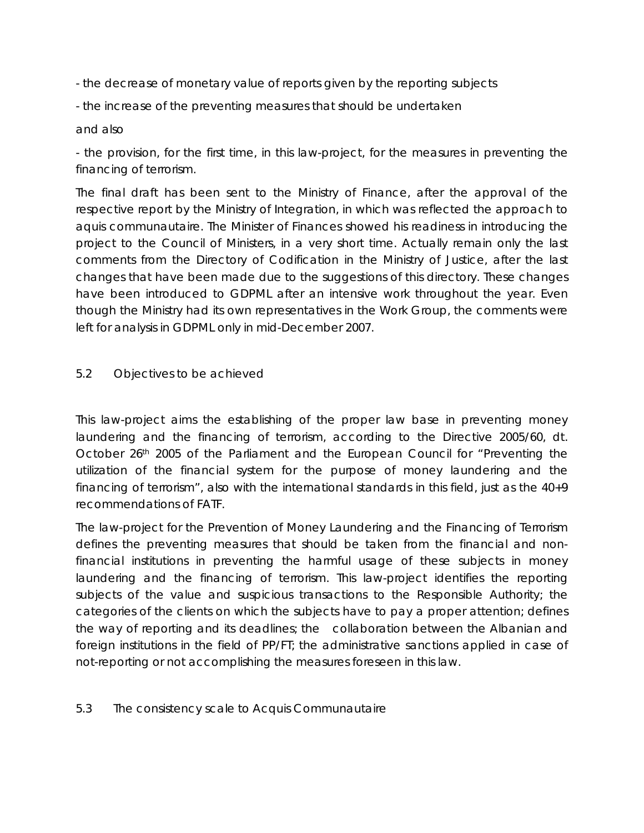- the decrease of monetary value of reports given by the reporting subjects

- the increase of the preventing measures that should be undertaken

## and also

- the provision, for the first time, in this law-project, for the measures in preventing the financing of terrorism.

The final draft has been sent to the Ministry of Finance, after the approval of the respective report by the Ministry of Integration, in which was reflected the approach to aquis communautaire. The Minister of Finances showed his readiness in introducing the project to the Council of Ministers, in a very short time. Actually remain only the last comments from the Directory of Codification in the Ministry of Justice, after the last changes that have been made due to the suggestions of this directory. These changes have been introduced to GDPML after an intensive work throughout the year. Even though the Ministry had its own representatives in the Work Group, the comments were left for analysis in GDPML only in mid-December 2007.

## 5.2 Objectives to be achieved

This law-project aims the establishing of the proper law base in preventing money laundering and the financing of terrorism, according to the Directive 2005/60, dt. October 26th 2005 of the Parliament and the European Council for "Preventing the utilization of the financial system for the purpose of money laundering and the financing of terrorism", also with the international standards in this field, just as the 40+9 recommendations of FATF.

The law-project for the Prevention of Money Laundering and the Financing of Terrorism defines the preventing measures that should be taken from the financial and nonfinancial institutions in preventing the harmful usage of these subjects in money laundering and the financing of terrorism. This law-project identifies the reporting subjects of the value and suspicious transactions to the Responsible Authority; the categories of the clients on which the subjects have to pay a proper attention; defines the way of reporting and its deadlines; the collaboration between the Albanian and foreign institutions in the field of PP/FT; the administrative sanctions applied in case of not-reporting or not accomplishing the measures foreseen in this law.

## 5.3 The consistency scale to Acquis Communautaire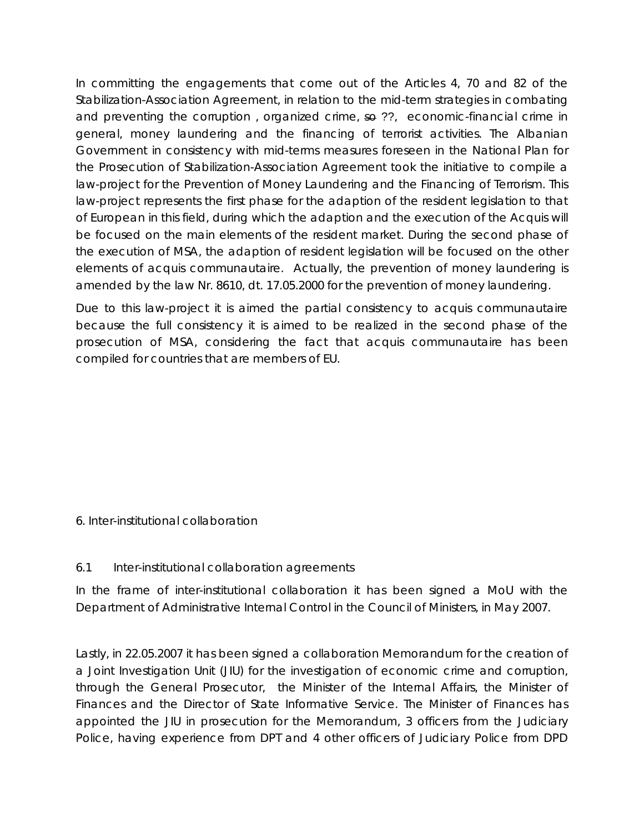In committing the engagements that come out of the Articles 4, 70 and 82 of the Stabilization-Association Agreement, in relation to the mid-term strategies in combating and preventing the corruption, organized crime, so ??, economic-financial crime in general, money laundering and the financing of terrorist activities. The Albanian Government in consistency with mid-terms measures foreseen in the National Plan for the Prosecution of Stabilization-Association Agreement took the initiative to compile a law-project for the Prevention of Money Laundering and the Financing of Terrorism. This law-project represents the first phase for the adaption of the resident legislation to that of European in this field, during which the adaption and the execution of the Acquis will be focused on the main elements of the resident market. During the second phase of the execution of MSA, the adaption of resident legislation will be focused on the other elements of acquis communautaire. Actually, the prevention of money laundering is amended by the law Nr. 8610, dt. 17.05.2000 for the prevention of money laundering.

Due to this law-project it is aimed the partial consistency to acquis communautaire because the full consistency it is aimed to be realized in the second phase of the prosecution of MSA, considering the fact that acquis communautaire has been compiled for countries that are members of EU.

6. Inter-institutional collaboration

# 6.1 Inter-institutional collaboration agreements

In the frame of inter-institutional collaboration it has been signed a MoU with the Department of Administrative Internal Control in the Council of Ministers, in May 2007.

Lastly, in 22.05.2007 it has been signed a collaboration Memorandum for the creation of a Joint Investigation Unit (JIU) for the investigation of economic crime and corruption, through the General Prosecutor, the Minister of the Internal Affairs, the Minister of Finances and the Director of State Informative Service. The Minister of Finances has appointed the JIU in prosecution for the Memorandum, 3 officers from the Judiciary Police, having experience from DPT and 4 other officers of Judiciary Police from DPD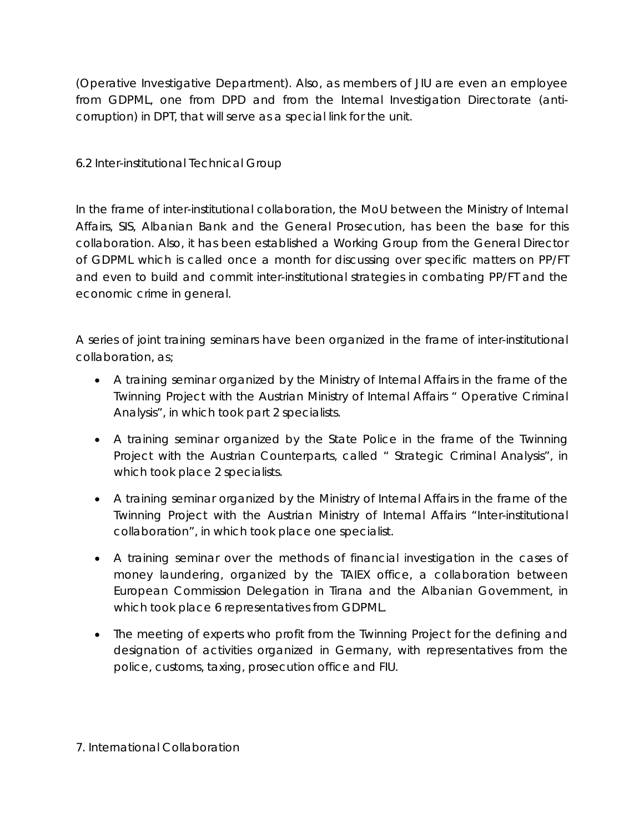(Operative Investigative Department). Also, as members of JIU are even an employee from GDPML, one from DPD and from the Internal Investigation Directorate (anticorruption) in DPT, that will serve as a special link for the unit.

6.2 Inter-institutional Technical Group

In the frame of inter-institutional collaboration, the MoU between the Ministry of Internal Affairs, SIS, Albanian Bank and the General Prosecution, has been the base for this collaboration. Also, it has been established a Working Group from the General Director of GDPML which is called once a month for discussing over specific matters on PP/FT and even to build and commit inter-institutional strategies in combating PP/FT and the economic crime in general.

A series of joint training seminars have been organized in the frame of inter-institutional collaboration, as;

- A training seminar organized by the Ministry of Internal Affairs in the frame of the Twinning Project with the Austrian Ministry of Internal Affairs " Operative Criminal Analysis", in which took part 2 specialists.
- A training seminar organized by the State Police in the frame of the Twinning Project with the Austrian Counterparts, called " Strategic Criminal Analysis", in which took place 2 specialists.
- A training seminar organized by the Ministry of Internal Affairs in the frame of the Twinning Project with the Austrian Ministry of Internal Affairs "Inter-institutional collaboration", in which took place one specialist.
- A training seminar over the methods of financial investigation in the cases of money laundering, organized by the TAIEX office, a collaboration between European Commission Delegation in Tirana and the Albanian Government, in which took place 6 representatives from GDPML.
- The meeting of experts who profit from the Twinning Project for the defining and designation of activities organized in Germany, with representatives from the police, customs, taxing, prosecution office and FIU.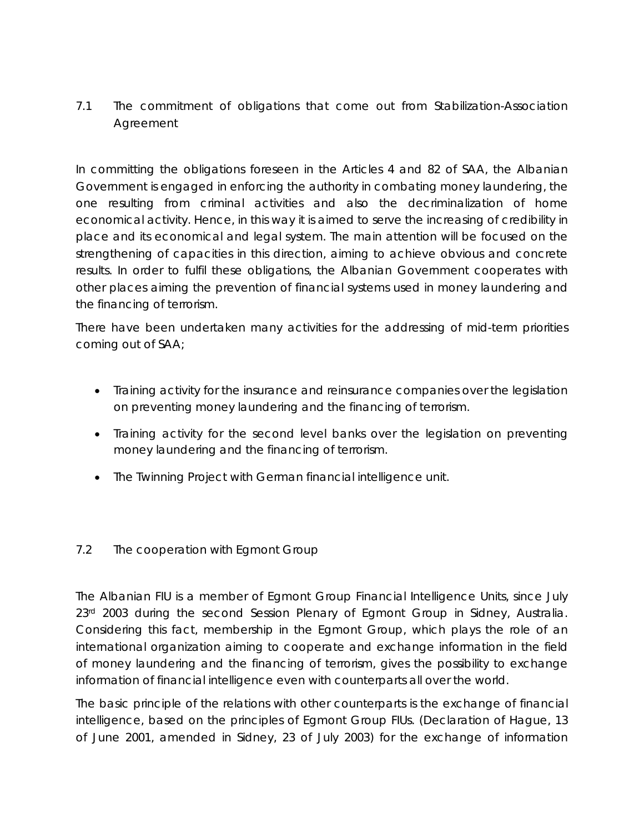# 7.1 The commitment of obligations that come out from Stabilization-Association Agreement

In committing the obligations foreseen in the Articles 4 and 82 of SAA, the Albanian Government is engaged in enforcing the authority in combating money laundering, the one resulting from criminal activities and also the decriminalization of home economical activity. Hence, in this way it is aimed to serve the increasing of credibility in place and its economical and legal system. The main attention will be focused on the strengthening of capacities in this direction, aiming to achieve obvious and concrete results. In order to fulfil these obligations, the Albanian Government cooperates with other places aiming the prevention of financial systems used in money laundering and the financing of terrorism.

*There have been undertaken many activities for the addressing of mid-term priorities coming out of SAA;* 

- Training activity for the insurance and reinsurance companies over the legislation on preventing money laundering and the financing of terrorism.
- Training activity for the second level banks over the legislation on preventing money laundering and the financing of terrorism.
- The Twinning Project with German financial intelligence unit.

# 7.2 The cooperation with Egmont Group

The Albanian FIU is a member of Egmont Group Financial Intelligence Units, since July 23rd 2003 during the second Session Plenary of Egmont Group in Sidney, Australia. Considering this fact, membership in the Egmont Group, which plays the role of an international organization aiming to cooperate and exchange information in the field of money laundering and the financing of terrorism, gives the possibility to exchange information of financial intelligence even with counterparts all over the world.

The basic principle of the relations with other counterparts is the exchange of financial intelligence, based on the principles of Egmont Group FIUs. (Declaration of Hague, 13 of June 2001, amended in Sidney, 23 of July 2003) for the exchange of information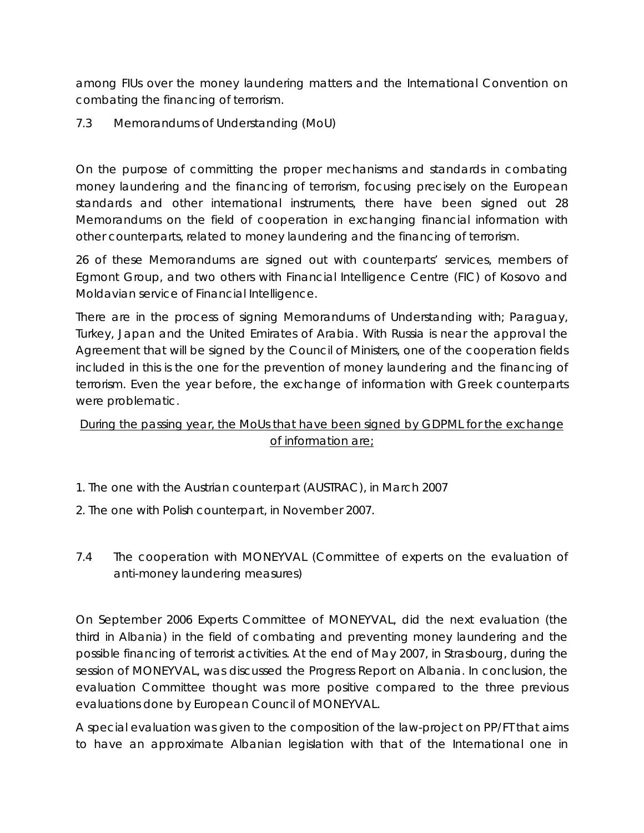among FIUs over the money laundering matters and the International Convention on combating the financing of terrorism.

7.3 Memorandums of Understanding (MoU)

On the purpose of committing the proper mechanisms and standards in combating money laundering and the financing of terrorism, focusing precisely on the European standards and other international instruments, there have been signed out 28 Memorandums on the field of cooperation in exchanging financial information with other counterparts, related to money laundering and the financing of terrorism.

26 of these Memorandums are signed out with counterparts' services, members of Egmont Group, and two others with Financial Intelligence Centre (FIC) of Kosovo and Moldavian service of Financial Intelligence.

There are in the process of signing Memorandums of Understanding with; Paraguay, Turkey, Japan and the United Emirates of Arabia. With Russia is near the approval the Agreement that will be signed by the Council of Ministers, one of the cooperation fields included in this is the one for the prevention of money laundering and the financing of terrorism. Even the year before, the exchange of information with Greek counterparts were problematic.

# *During the passing year, the MoUs that have been signed by GDPML for the exchange of information are;*

- 1. The one with the Austrian counterpart (AUSTRAC), in March 2007
- 2. The one with Polish counterpart, in November 2007.
- 7.4 The cooperation with MONEYVAL (Committee of experts on the evaluation of anti-money laundering measures)

On September 2006 Experts Committee of MONEYVAL, did the next evaluation (the third in Albania) in the field of combating and preventing money laundering and the possible financing of terrorist activities. At the end of May 2007, in Strasbourg, during the session of MONEYVAL, was discussed the Progress Report on Albania. In conclusion, the evaluation Committee thought was more positive compared to the three previous evaluations done by European Council of MONEYVAL.

A special evaluation was given to the composition of the law-project on PP/FT that aims to have an approximate Albanian legislation with that of the International one in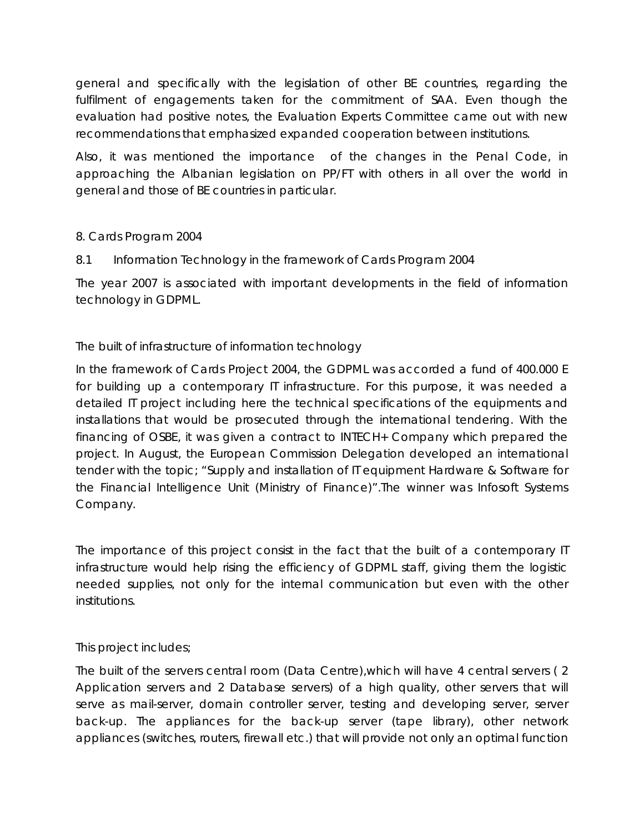general and specifically with the legislation of other BE countries, regarding the fulfilment of engagements taken for the commitment of SAA. Even though the evaluation had positive notes, the Evaluation Experts Committee came out with new recommendations that emphasized expanded cooperation between institutions.

Also, it was mentioned the importance of the changes in the Penal Code, in approaching the Albanian legislation on PP/FT with others in all over the world in general and those of BE countries in particular.

# 8. Cards Program 2004

8.1 Information Technology in the framework of Cards Program 2004

The year 2007 is associated with important developments in the field of information technology in GDPML.

## *The built of infrastructure of information technology*

In the framework of Cards Project 2004, the GDPML was accorded a fund of 400.000 E for building up a contemporary IT infrastructure. For this purpose, it was needed a detailed IT project including here the technical specifications of the equipments and installations that would be prosecuted through the international tendering. With the financing of OSBE, it was given a contract to INTECH+ Company which prepared the project. In August, the European Commission Delegation developed an international tender with the topic; "Supply and installation of IT equipment Hardware & Software for the Financial Intelligence Unit (Ministry of Finance)".The winner was Infosoft Systems Company.

The importance of this project consist in the fact that the built of a contemporary IT infrastructure would help rising the efficiency of GDPML staff, giving them the logistic needed supplies, not only for the internal communication but even with the other institutions.

This project includes;

The built of the servers central room (Data Centre),which will have 4 central servers ( 2 Application servers and 2 Database servers) of a high quality, other servers that will serve as mail-server, domain controller server, testing and developing server, server back-up. The appliances for the back-up server (tape library), other network appliances (switches, routers, firewall etc.) that will provide not only an optimal function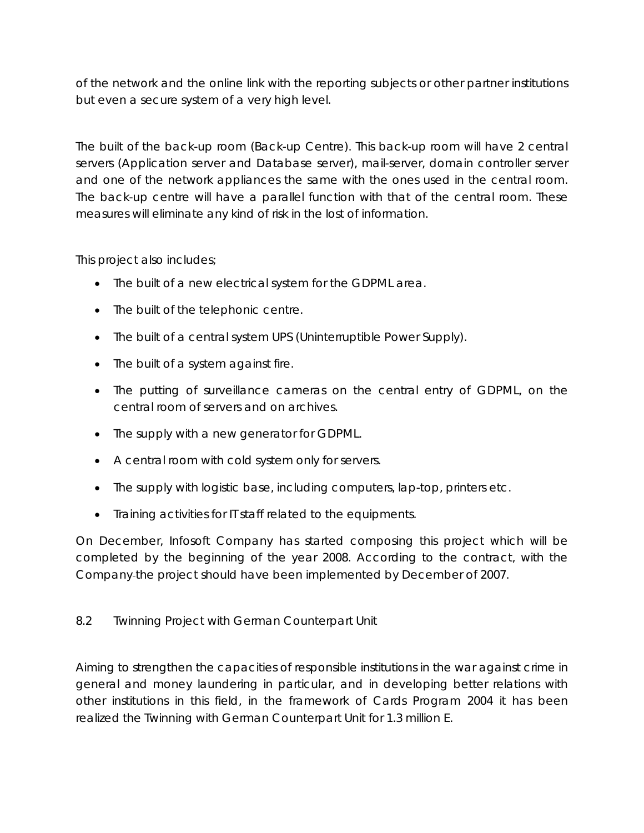of the network and the online link with the reporting subjects or other partner institutions but even a secure system of a very high level.

The built of the back-up room (Back-up Centre). This back-up room will have 2 central servers (Application server and Database server), mail-server, domain controller server and one of the network appliances the same with the ones used in the central room. The back-up centre will have a parallel function with that of the central room. These measures will eliminate any kind of risk in the lost of information.

This project also includes;

- The built of a new electrical system for the GDPML area.
- The built of the telephonic centre.
- The built of a central system UPS (Uninterruptible Power Supply).
- The built of a system against fire.
- The putting of surveillance cameras on the central entry of GDPML, on the central room of servers and on archives.
- The supply with a new generator for GDPML.
- A central room with cold system only for servers.
- The supply with logistic base, including computers, lap-top, printers etc.
- Training activities for IT staff related to the equipments.

On December, Infosoft Company has started composing this project which will be completed by the beginning of the year 2008. According to the contract, with the Company the project should have been implemented by December of 2007.

## 8.2 Twinning Project with German Counterpart Unit

Aiming to strengthen the capacities of responsible institutions in the war against crime in general and money laundering in particular, and in developing better relations with other institutions in this field, in the framework of Cards Program 2004 it has been realized the Twinning with German Counterpart Unit for 1.3 million E.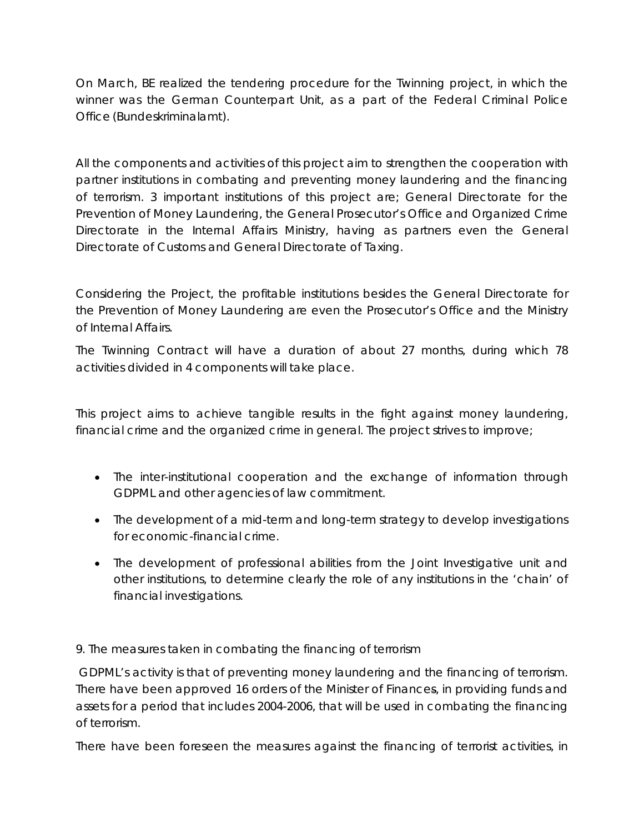On March, BE realized the tendering procedure for the Twinning project, in which the winner was the German Counterpart Unit, as a part of the Federal Criminal Police Office (Bundeskriminalamt).

All the components and activities of this project aim to strengthen the cooperation with partner institutions in combating and preventing money laundering and the financing of terrorism. 3 important institutions of this project are; General Directorate for the Prevention of Money Laundering, the General Prosecutor's Office and Organized Crime Directorate in the Internal Affairs Ministry, having as partners even the General Directorate of Customs and General Directorate of Taxing.

Considering the Project, the profitable institutions besides the General Directorate for the Prevention of Money Laundering are even the Prosecutor's Office and the Ministry of Internal Affairs.

The Twinning Contract will have a duration of about 27 months, during which 78 activities divided in 4 components will take place.

This project aims to achieve tangible results in the fight against money laundering, financial crime and the organized crime in general. The project strives to improve;

- The inter-institutional cooperation and the exchange of information through GDPML and other agencies of law commitment.
- The development of a mid-term and long-term strategy to develop investigations for economic-financial crime.
- The development of professional abilities from the Joint Investigative unit and other institutions, to determine clearly the role of any institutions in the 'chain' of financial investigations.

# 9. The measures taken in combating the financing of terrorism

 GDPML's activity is that of preventing money laundering and the financing of terrorism. There have been approved 16 orders of the Minister of Finances, in providing funds and assets for a period that includes 2004-2006, that will be used in combating the financing of terrorism.

There have been foreseen the measures against the financing of terrorist activities, in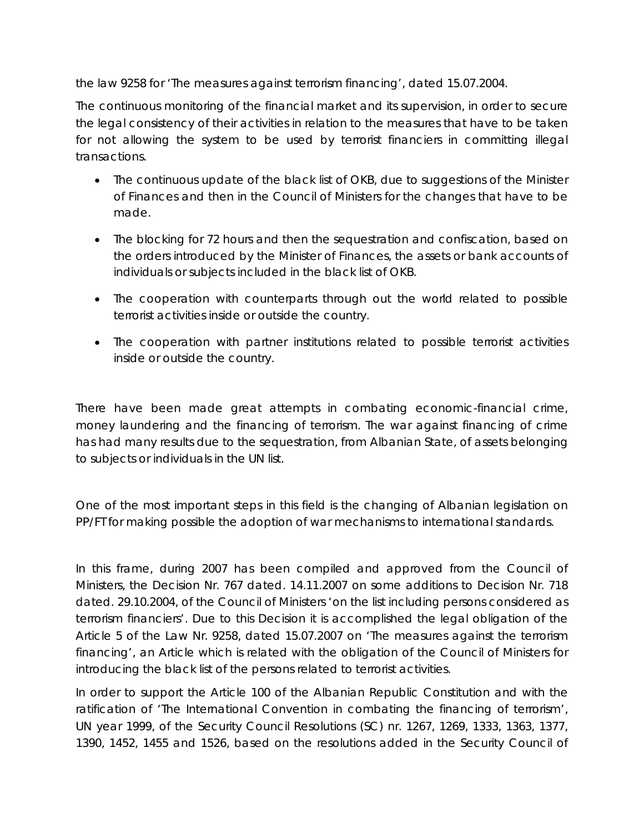the law 9258 for 'The measures against terrorism financing', dated 15.07.2004.

The continuous monitoring of the financial market and its supervision, in order to secure the legal consistency of their activities in relation to the measures that have to be taken for not allowing the system to be used by terrorist financiers in committing illegal transactions.

- The continuous update of the black list of OKB, due to suggestions of the Minister of Finances and then in the Council of Ministers for the changes that have to be made.
- The blocking for 72 hours and then the sequestration and confiscation, based on the orders introduced by the Minister of Finances, the assets or bank accounts of individuals or subjects included in the black list of OKB.
- The cooperation with counterparts through out the world related to possible terrorist activities inside or outside the country.
- The cooperation with partner institutions related to possible terrorist activities inside or outside the country.

There have been made great attempts in combating economic-financial crime, money laundering and the financing of terrorism. The war against financing of crime has had many results due to the sequestration, from Albanian State, of assets belonging to subjects or individuals in the UN list.

One of the most important steps in this field is the changing of Albanian legislation on PP/FT for making possible the adoption of war mechanisms to international standards.

In this frame, during 2007 has been compiled and approved from the Council of Ministers, the Decision Nr. 767 dated. 14.11.2007 on some additions to Decision Nr. 718 dated. 29.10.2004, of the Council of Ministers 'on the list including persons considered as terrorism financiers'. Due to this Decision it is accomplished the legal obligation of the Article 5 of the Law Nr. 9258, dated 15.07.2007 on 'The measures against the terrorism financing', an Article which is related with the obligation of the Council of Ministers for introducing the black list of the persons related to terrorist activities.

In order to support the Article 100 of the Albanian Republic Constitution and with the ratification of 'The International Convention in combating the financing of terrorism', UN year 1999, of the Security Council Resolutions (SC) nr. 1267, 1269, 1333, 1363, 1377, 1390, 1452, 1455 and 1526, based on the resolutions added in the Security Council of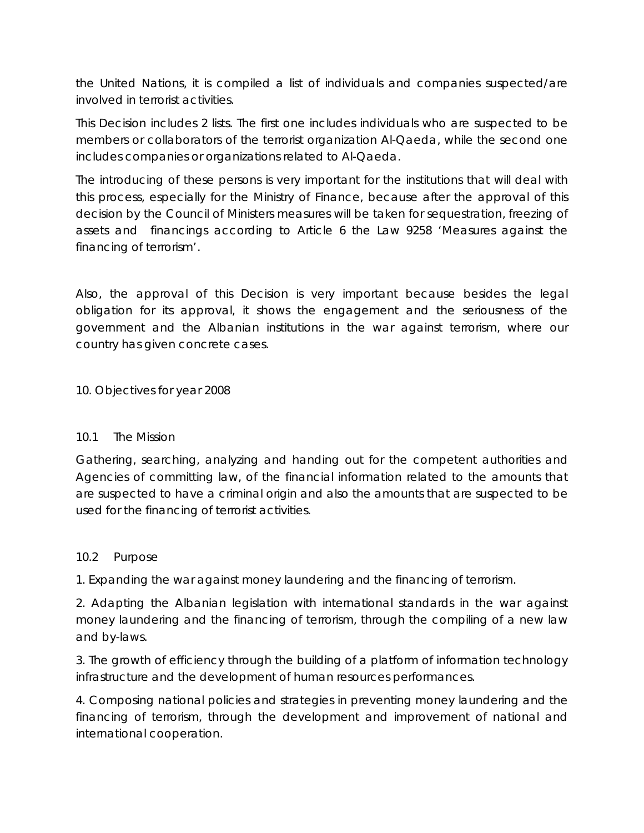the United Nations, it is compiled a list of individuals and companies suspected/are involved in terrorist activities.

This Decision includes 2 lists. The first one includes individuals who are suspected to be members or collaborators of the terrorist organization Al-Qaeda, while the second one includes companies or organizations related to Al-Qaeda.

The introducing of these persons is very important for the institutions that will deal with this process, especially for the Ministry of Finance, because after the approval of this decision by the Council of Ministers measures will be taken for sequestration, freezing of assets and financings according to Article 6 the Law 9258 'Measures against the financing of terrorism'.

Also, the approval of this Decision is very important because besides the legal obligation for its approval, it shows the engagement and the seriousness of the government and the Albanian institutions in the war against terrorism, where our country has given concrete cases.

10. Objectives for year 2008

## 10.1 The Mission

Gathering, searching, analyzing and handing out for the competent authorities and Agencies of committing law, of the financial information related to the amounts that are suspected to have a criminal origin and also the amounts that are suspected to be used for the financing of terrorist activities.

#### 10.2 Purpose

1. Expanding the war against money laundering and the financing of terrorism.

2. Adapting the Albanian legislation with international standards in the war against money laundering and the financing of terrorism, through the compiling of a new law and by-laws.

3. The growth of efficiency through the building of a platform of information technology infrastructure and the development of human resources performances.

4. Composing national policies and strategies in preventing money laundering and the financing of terrorism, through the development and improvement of national and international cooperation.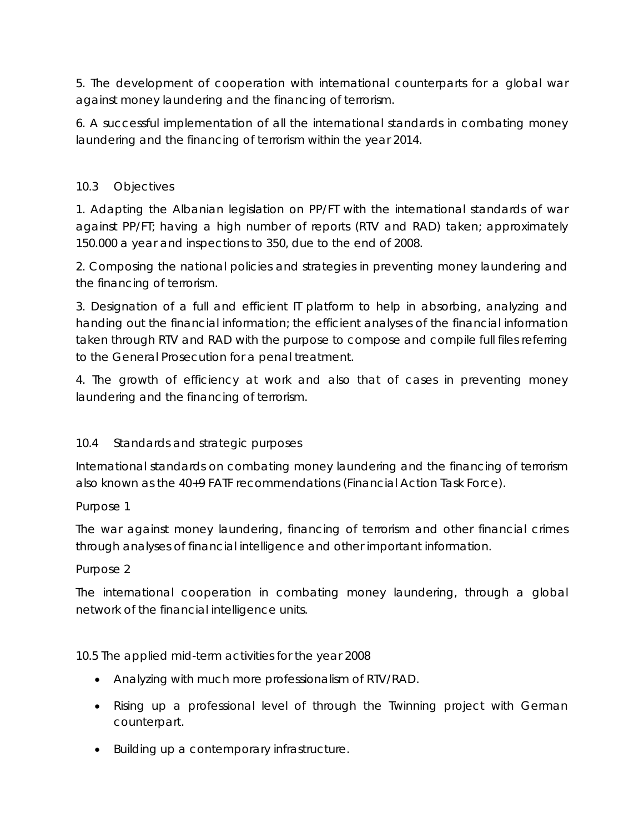5. The development of cooperation with international counterparts for a global war against money laundering and the financing of terrorism.

6. A successful implementation of all the international standards in combating money laundering and the financing of terrorism within the year 2014.

## 10.3 Objectives

1. Adapting the Albanian legislation on PP/FT with the international standards of war against PP/FT; having a high number of reports (RTV and RAD) taken; approximately 150.000 a year and inspections to 350, due to the end of 2008.

2. Composing the national policies and strategies in preventing money laundering and the financing of terrorism.

3. Designation of a full and efficient IT platform to help in absorbing, analyzing and handing out the financial information; the efficient analyses of the financial information taken through RTV and RAD with the purpose to compose and compile full files referring to the General Prosecution for a penal treatment.

4. The growth of efficiency at work and also that of cases in preventing money laundering and the financing of terrorism.

# 10.4 Standards and strategic purposes

International standards on combating money laundering and the financing of terrorism also known as the 40+9 FATF recommendations (Financial Action Task Force).

## Purpose 1

The war against money laundering, financing of terrorism and other financial crimes through analyses of financial intelligence and other important information.

## Purpose 2

The international cooperation in combating money laundering, through a global network of the financial intelligence units.

10.5 The applied mid-term activities for the year 2008

- Analyzing with much more professionalism of RTV/RAD.
- Rising up a professional level of through the Twinning project with German counterpart.
- Building up a contemporary infrastructure.